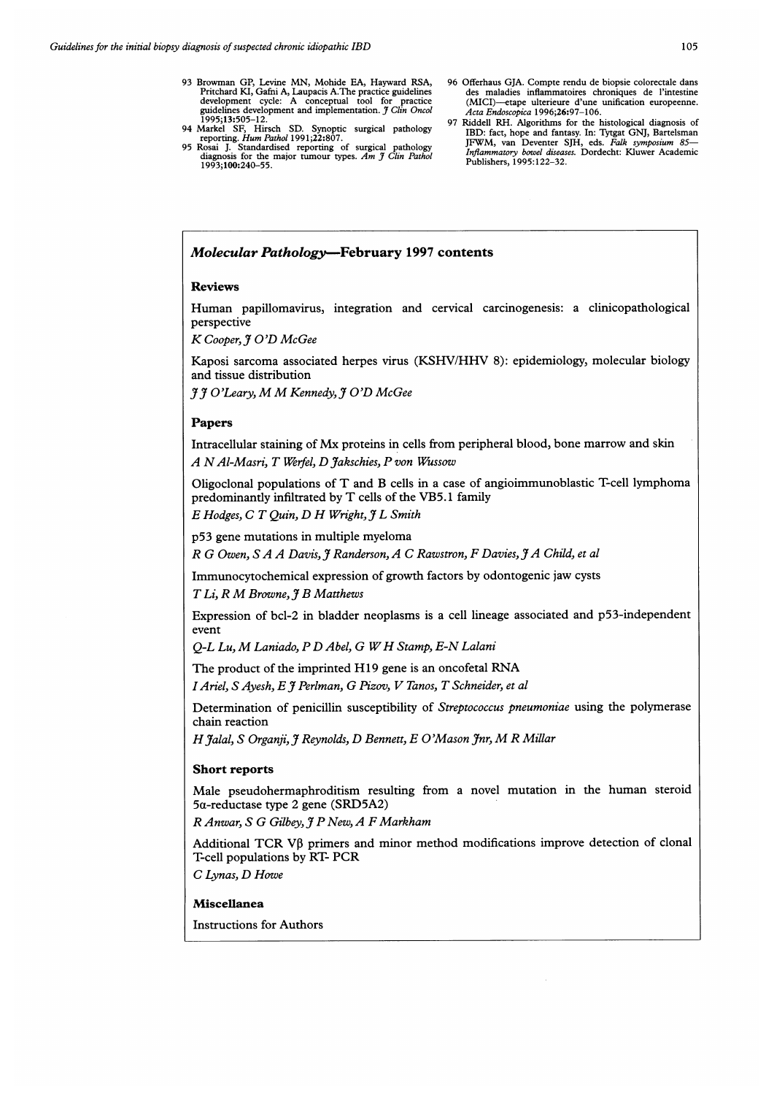- 
- 95 Rosai J. Standardised reporting of surgical pathology<br>diagnosis for the major tumour types. Am J Clin Pathol<br>1993;100:240-55.<br>1993:100:240-55.

1995;13:505-12.<br>97 Riddell RH. Algorithms for the histological diagnosis of 94 Markel SF, Hirsch SD. Synoptic surgical pathology IBD: fact, hope and fantasy. In: Tytgat GNJ, Bartelsman JFWM, van Deventer SJH, eds. Falk symposium 85-

# Molecular Pathology-February 1997 contents

## Reviews

Human papillomavirus, integration and cervical carcinogenesis: <sup>a</sup> clinicopathological perspective

K Cooper, If O'D McGee

Kaposi sarcoma associated herpes virus (KSHV/HHV 8): epidemiology, molecular biology and tissue distribution

 $\tilde{\mathcal{J}}$   $\tilde{\mathcal{J}}$  O'Leary, M M Kennedy,  $\tilde{\mathcal{J}}$  O'D McGee

# Papers

Intracellular staining of Mx proteins in cells from peripheral blood, bone marrow and skin A N Al-Masri, T Werfel, D Jakschies, P von Wussow

Oligoclonal populations of T and B cells in <sup>a</sup> case of angioimmunoblastic T-cell lymphoma predominantly infiltrated by T cells of the VB5. <sup>1</sup> family

 $E$  Hodges,  $C$   $T$  Ouin,  $D$   $H$  Wright,  $7$   $L$  Smith

p53 gene mutations in multiple myeloma

R G Owen, S A A Davis, J Randerson, A C Rawstron, F Davies, J A Child, et al

Immunocytochemical expression of growth factors by odontogenic jaw cysts

T Li, R M Browne, J B Matthews

Expression of bcl-2 in bladder neoplasms is a cell lineage associated and p53-independent event

O-L Lu, M Laniado, P D Abel, G W H Stamp, E-N Lalani

The product of the imprinted H19 gene is an oncofetal RNA

I Ariel, S Ayesh, E J Perlman, G Pizov, V Tanos, T Schneider, et al

Determination of penicillin susceptibility of Streptococcus pneumoniae using the polymerase chain reaction

H Jalal, S Organji, J Reynolds, D Bennett, E O'Mason Jnr, M R Millar

## Short reports

Male pseudohermaphroditism resulting from <sup>a</sup> novel mutation in the human steroid 5a-reductase type 2 gene (SRD5A2)

 $R$  Anwar, S G Gilbey, J P New, A F Markham

Additional TCR VB primers and minor method modifications improve detection of clonal T-cell populations by RT- PCR

C Lynas, D Howe

### Miscellanea

Instructions for Authors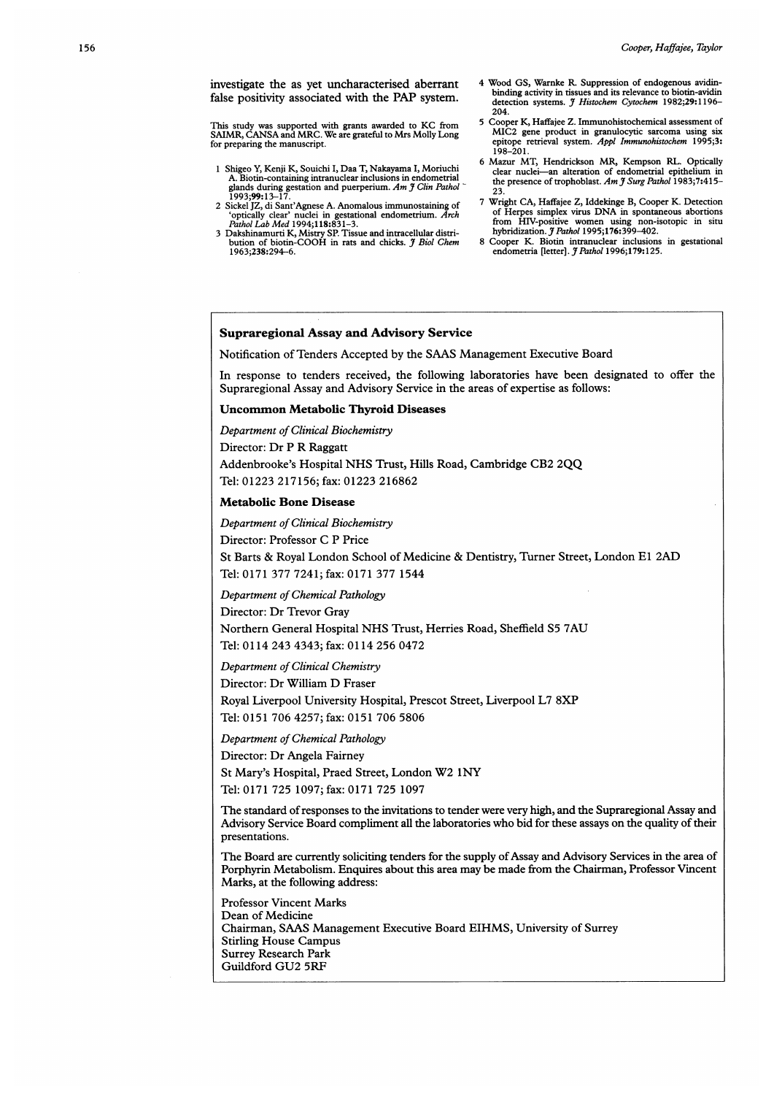For preparing the manuscript. We are grateful to trus tributy Long<br>for preparing the manuscript.<br>epitope retrieval system. Appl Immunohistochem 1995;3:

- 1 Shigeo Y, Kenji K, Souichi I, Daa T, Nakayama I, Moriuchi glands during gestation and puerperium. Am  $\widetilde{J}$  Clin Pathol  $\overline{23}$ 1993;99:13-17.
- $\frac{1}{2}$ ,  $\frac{1}{2}$ ,  $\frac{1}{2}$ ,  $\frac{1}{2}$ ,  $\frac{1}{2}$ ,  $\frac{1}{2}$ ,  $\frac{1}{2}$ ,  $\frac{1}{2}$ ,  $\frac{1}{2}$ ,  $\frac{1}{2}$ ,  $\frac{1}{2}$ ,  $\frac{1}{2}$ ,  $\frac{1}{2}$ ,  $\frac{1}{2}$ ,  $\frac{1}{2}$ ,  $\frac{1}{2}$ ,  $\frac{1}{2}$ ,  $\frac{1}{2}$ ,  $\frac{1}{2}$ ,  $\frac{1}{2}$ ,
- 3 Dakshinamurti K, Mistry SP. Tissue and intracellular distri-<br>bution of biotin-COOH in rats and chicks. *J Biol Chem* 8 Cooper K. Biotin intranuclear inclusions in gestational 1963;238:294-6.<br>1963;238:294-6. endometria [letter]. *J Pathol* 1996;179:125.
- investigate the as yet uncharacterised aberrant 4 Wood GS, Warnke R. Suppression of endogenous avidin-<br>  $\frac{1}{2}$  binding activity in tissues and its relevance to biotin-avidinfalse positivity associated with the PAP system.<br>detection systems. J Histochem Cytochem 1982;29:1196-
- 204.<br>5 Cooper K. Haffaiee Z. Immunohistochemical assessment of This study was supported with grants awarded to KC from 5 Cooper K, Haffajee Z. Immunohistochemical assessment of<br>SAIMR, CANSA and MRC. We are grateful to Mrs Molly Long MIC2 gene product in granulocytic sarcoma using six 198-201.
	- 6 Mazur MT, Hendrickson MR, Kempson RL. Optically A. Biotin-containing intranuclear inclusions in endometrial the presence of trophoblast. Am  $\tilde{f}$  Surg Pathol 1983;7:415-
- 2 Sickel JZ, di Sant'Agnese A. Anomalous immunostaining of 7 Wright CA, Haffajee Z, Iddekinge B, Cooper K. Detection<br>
2 Sickel JZ, di Sant'Agnese A. Anomalous immunostaining of 7 Wright CA, Haffajee Z, Iddekinge B, Cooper or Trepes simplex women using non-isotopic in situ<br>hybridization.  $\frac{3}{2}$  Pathol 1995;176:399-402.
	-

## Supraregional Assay and Advisory Service

Notification of Tenders Accepted by the SAAS Management Executive Board

In response to tenders received, the following laboratories have been designated to offer the Supraregional Assay and Advisory Service in the areas of expertise as follows:

# Uncommon Metabolic Thyroid Diseases

Department of Clinical Biochemistry Director: Dr P R Raggatt Addenbrooke's Hospital NHS Trust, Hills Road, Cambridge CB2 2QQ Tel: 01223 217156; fax: 01223 216862

### Metabolic Bone Disease

Department of Clinical Biochemistry Director: Professor C P Price St Barts & Royal London School of Medicine & Dentistry, Turner Street, London El 2AD Tel: 0171 377 7241; fax: 0171 377 1544

Department of Chemical Pathology

Director: Dr Trevor Gray Northern General Hospital NHS Trust, Herries Road, Sheffield S5 7AU Tel: 0114 243 4343; fax: 0114 256 0472

Department of Clinical Chemistry

Director: Dr William D Fraser

Royal Liverpool University Hospital, Prescot Street, Liverpool L7 8XP

Tel: 0151 706 4257; fax: 0151 706 5806

Department of Chemical Pathology

Director: Dr Angela Fairney

St Mary's Hospital, Praed Street, London W2 INY

Tel: 0171 725 1097; fax: 0171 725 1097

The standard of responses to the invitations to tender were very high, and the Supraregional Assay and Advisory Service Board compliment all the laboratories who bid for these assays on the quality of their presentations.

The Board are currently soliciting tenders for the supply of Assay and Advisory Services in the area of Porphyrin Metabolism. Enquires about this area may be made from the Chairman, Professor Vincent Marks, at the following address:

Professor Vincent Marks Dean of Medicine Chairman, SAAS Management Executive Board EIHMS, University of Surrey Stirling House Campus Surrey Research Park Guildford GU2 5RF